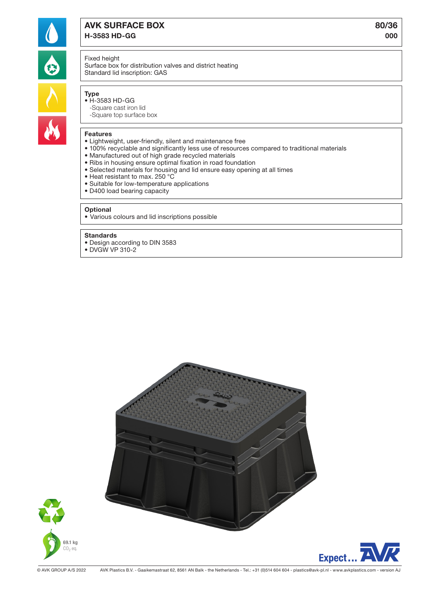

# AVK SURFACE BOX 80/36

H-3583 HD-GG 000

# Fixed height

Surface box for distribution valves and district heating Standard lid inscription: GAS

- -Square cast iron lid
- -Square top surface box

### Features

- Lightweight, user-friendly, silent and maintenance free
- 100% recyclable and significantly less use of resources compared to traditional materials
- Manufactured out of high grade recycled materials
- Ribs in housing ensure optimal fixation in road foundation
- Selected materials for housing and lid ensure easy opening at all times
- Heat resistant to max. 250 °C
- Suitable for low-temperature applications
- D400 load bearing capacity

#### **Optional**

• Various colours and lid inscriptions possible

#### Standards

- Design according to DIN 3583
- DVGW VP 310-2





© AVK GROUP A/S 2022 AVK Plastics B.V. - Gaaikemastraat 62, 8561 AN Balk - the Netherlands - Tel.: +31 (0)514 604 604 - plastics@avk-pl.nl - www.avkplastics.com - version AJ